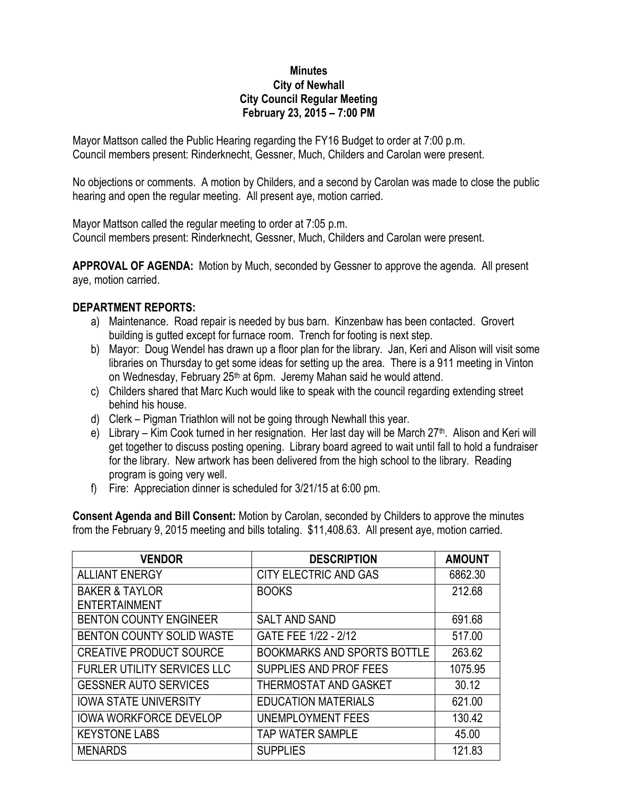## **Minutes City of Newhall City Council Regular Meeting February 23, 2015 – 7:00 PM**

Mayor Mattson called the Public Hearing regarding the FY16 Budget to order at 7:00 p.m. Council members present: Rinderknecht, Gessner, Much, Childers and Carolan were present.

No objections or comments. A motion by Childers, and a second by Carolan was made to close the public hearing and open the regular meeting. All present aye, motion carried.

Mayor Mattson called the regular meeting to order at 7:05 p.m. Council members present: Rinderknecht, Gessner, Much, Childers and Carolan were present.

**APPROVAL OF AGENDA:** Motion by Much, seconded by Gessner to approve the agenda. All present aye, motion carried.

## **DEPARTMENT REPORTS:**

- a) Maintenance. Road repair is needed by bus barn. Kinzenbaw has been contacted. Grovert building is gutted except for furnace room. Trench for footing is next step.
- b) Mayor: Doug Wendel has drawn up a floor plan for the library. Jan, Keri and Alison will visit some libraries on Thursday to get some ideas for setting up the area. There is a 911 meeting in Vinton on Wednesday, February 25<sup>th</sup> at 6pm. Jeremy Mahan said he would attend.
- c) Childers shared that Marc Kuch would like to speak with the council regarding extending street behind his house.
- d) Clerk Pigman Triathlon will not be going through Newhall this year.
- e) Library Kim Cook turned in her resignation. Her last day will be March  $27<sup>th</sup>$ . Alison and Keri will get together to discuss posting opening. Library board agreed to wait until fall to hold a fundraiser for the library. New artwork has been delivered from the high school to the library. Reading program is going very well.
- f) Fire: Appreciation dinner is scheduled for 3/21/15 at 6:00 pm.

**Consent Agenda and Bill Consent:** Motion by Carolan, seconded by Childers to approve the minutes from the February 9, 2015 meeting and bills totaling. \$11,408.63. All present aye, motion carried.

| <b>VENDOR</b>                      | <b>DESCRIPTION</b>                 | <b>AMOUNT</b> |
|------------------------------------|------------------------------------|---------------|
| <b>ALLIANT ENERGY</b>              | <b>CITY ELECTRIC AND GAS</b>       | 6862.30       |
| <b>BAKER &amp; TAYLOR</b>          | <b>BOOKS</b>                       | 212.68        |
| <b>ENTERTAINMENT</b>               |                                    |               |
| <b>BENTON COUNTY ENGINEER</b>      | <b>SALT AND SAND</b>               | 691.68        |
| <b>BENTON COUNTY SOLID WASTE</b>   | GATE FEE 1/22 - 2/12               | 517.00        |
| <b>CREATIVE PRODUCT SOURCE</b>     | <b>BOOKMARKS AND SPORTS BOTTLE</b> | 263.62        |
| <b>FURLER UTILITY SERVICES LLC</b> | SUPPLIES AND PROF FEES             | 1075.95       |
| <b>GESSNER AUTO SERVICES</b>       | THERMOSTAT AND GASKET              | 30.12         |
| <b>IOWA STATE UNIVERSITY</b>       | <b>EDUCATION MATERIALS</b>         | 621.00        |
| <b>IOWA WORKFORCE DEVELOP</b>      | <b>UNEMPLOYMENT FEES</b>           | 130.42        |
| <b>KEYSTONE LABS</b>               | <b>TAP WATER SAMPLE</b>            | 45.00         |
| <b>MENARDS</b>                     | <b>SUPPLIES</b>                    | 121.83        |